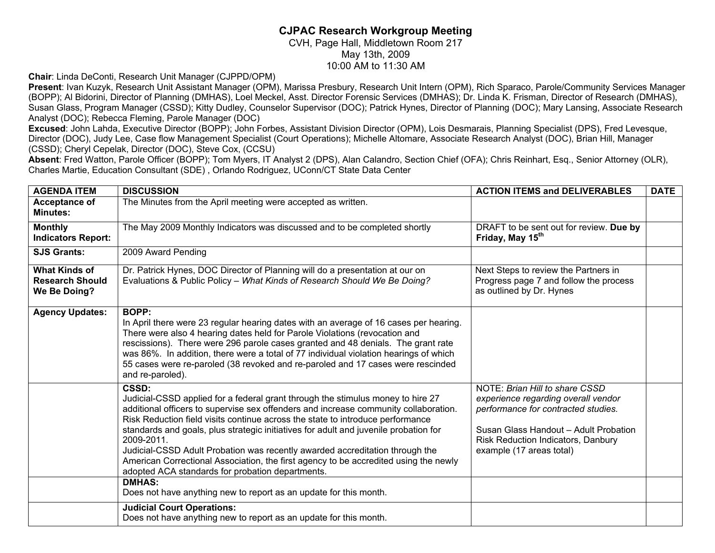## **CJPAC Research Workgroup Meeting**

CVH, Page Hall, Middletown Room 217 May 13th, 2009 10:00 AM to 11:30 AM

**Chair**: Linda DeConti, Research Unit Manager (CJPPD/OPM)

**Present**: Ivan Kuzyk, Research Unit Assistant Manager (OPM), Marissa Presbury, Research Unit Intern (OPM), Rich Sparaco, Parole/Community Services Manager (BOPP); Al Bidorini, Director of Planning (DMHAS), Loel Meckel, Asst. Director Forensic Services (DMHAS); Dr. Linda K. Frisman, Director of Research (DMHAS), Susan Glass, Program Manager (CSSD); Kitty Dudley, Counselor Supervisor (DOC); Patrick Hynes, Director of Planning (DOC); Mary Lansing, Associate Research Analyst (DOC); Rebecca Fleming, Parole Manager (DOC)

**Excused**: John Lahda, Executive Director (BOPP); John Forbes, Assistant Division Director (OPM), Lois Desmarais, Planning Specialist (DPS), Fred Levesque, Director (DOC), Judy Lee, Case flow Management Specialist (Court Operations); Michelle Altomare, Associate Research Analyst (DOC), Brian Hill, Manager (CSSD); Cheryl Cepelak, Director (DOC), Steve Cox, (CCSU)

**Absent**: Fred Watton, Parole Officer (BOPP); Tom Myers, IT Analyst 2 (DPS), Alan Calandro, Section Chief (OFA); Chris Reinhart, Esq., Senior Attorney (OLR), Charles Martie, Education Consultant (SDE) , Orlando Rodriguez, UConn/CT State Data Center

| <b>AGENDA ITEM</b>                                             | <b>DISCUSSION</b>                                                                                                                                                                                                                                                                                                                                                                                                                                                                                                                                                                                                                                                                          | <b>ACTION ITEMS and DELIVERABLES</b>                                                                                                                                                                                           | <b>DATE</b> |
|----------------------------------------------------------------|--------------------------------------------------------------------------------------------------------------------------------------------------------------------------------------------------------------------------------------------------------------------------------------------------------------------------------------------------------------------------------------------------------------------------------------------------------------------------------------------------------------------------------------------------------------------------------------------------------------------------------------------------------------------------------------------|--------------------------------------------------------------------------------------------------------------------------------------------------------------------------------------------------------------------------------|-------------|
| Acceptance of<br><b>Minutes:</b>                               | The Minutes from the April meeting were accepted as written.                                                                                                                                                                                                                                                                                                                                                                                                                                                                                                                                                                                                                               |                                                                                                                                                                                                                                |             |
| <b>Monthly</b><br><b>Indicators Report:</b>                    | The May 2009 Monthly Indicators was discussed and to be completed shortly                                                                                                                                                                                                                                                                                                                                                                                                                                                                                                                                                                                                                  | DRAFT to be sent out for review. Due by<br>Friday, May 15 <sup>th</sup>                                                                                                                                                        |             |
| <b>SJS Grants:</b>                                             | 2009 Award Pending                                                                                                                                                                                                                                                                                                                                                                                                                                                                                                                                                                                                                                                                         |                                                                                                                                                                                                                                |             |
| <b>What Kinds of</b><br><b>Research Should</b><br>We Be Doing? | Dr. Patrick Hynes, DOC Director of Planning will do a presentation at our on<br>Evaluations & Public Policy - What Kinds of Research Should We Be Doing?                                                                                                                                                                                                                                                                                                                                                                                                                                                                                                                                   | Next Steps to review the Partners in<br>Progress page 7 and follow the process<br>as outlined by Dr. Hynes                                                                                                                     |             |
| <b>Agency Updates:</b>                                         | BOPP:<br>In April there were 23 regular hearing dates with an average of 16 cases per hearing.<br>There were also 4 hearing dates held for Parole Violations (revocation and<br>rescissions). There were 296 parole cases granted and 48 denials. The grant rate<br>was 86%. In addition, there were a total of 77 individual violation hearings of which<br>55 cases were re-paroled (38 revoked and re-paroled and 17 cases were rescinded<br>and re-paroled).                                                                                                                                                                                                                           |                                                                                                                                                                                                                                |             |
|                                                                | CSSD:<br>Judicial-CSSD applied for a federal grant through the stimulus money to hire 27<br>additional officers to supervise sex offenders and increase community collaboration.<br>Risk Reduction field visits continue across the state to introduce performance<br>standards and goals, plus strategic initiatives for adult and juvenile probation for<br>2009-2011.<br>Judicial-CSSD Adult Probation was recently awarded accreditation through the<br>American Correctional Association, the first agency to be accredited using the newly<br>adopted ACA standards for probation departments.<br><b>DMHAS:</b><br>Does not have anything new to report as an update for this month. | <b>NOTE: Brian Hill to share CSSD</b><br>experience regarding overall vendor<br>performance for contracted studies.<br>Susan Glass Handout - Adult Probation<br>Risk Reduction Indicators, Danbury<br>example (17 areas total) |             |
|                                                                | <b>Judicial Court Operations:</b><br>Does not have anything new to report as an update for this month.                                                                                                                                                                                                                                                                                                                                                                                                                                                                                                                                                                                     |                                                                                                                                                                                                                                |             |